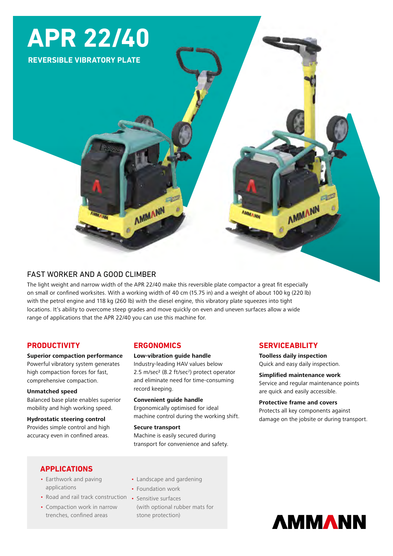# **APR 22/40**

**REVERSIBLE VIBRATORY PLATE**

# FAST WORKER AND A GOOD CLIMBER

The light weight and narrow width of the APR 22/40 make this reversible plate compactor a great fit especially on small or confined worksites. With a working width of 40 cm (15.75 in) and a weight of about 100 kg (220 lb) with the petrol engine and 118 kg (260 lb) with the diesel engine, this vibratory plate squeezes into tight locations. It's ability to overcome steep grades and move quickly on even and uneven surfaces allow a wide range of applications that the APR 22/40 you can use this machine for.

# **PRODUCTIVITY**

**Superior compaction performance** Powerful vibratory system generates

high compaction forces for fast, comprehensive compaction.

#### **Unmatched speed**

Balanced base plate enables superior mobility and high working speed.

# **Hydrostatic steering control**

Provides simple control and high accuracy even in confined areas.

# **ERGONOMICS**

AMMANN

#### **Low-vibration guide handle**

Industry-leading HAV values below 2.5 m/sec<sup>2</sup> (8.2 ft/sec<sup>2</sup>) protect operator and eliminate need for time-consuming record keeping.

#### **Convenient guide handle** Ergonomically optimised for ideal machine control during the working shift.

**Secure transport** Machine is easily secured during transport for convenience and safety.

## **SERVICEABILITY**

**Toolless daily inspection** Quick and easy daily inspection.

**Simplified maintenance work** Service and regular maintenance points are quick and easily accessible.

**CITY** 

AMMANN

#### **Protective frame and covers** Protects all key components against

damage on the jobsite or during transport.

# **APPLICATIONS**

- Earthwork and paving applications
- Road and rail track construction Sensitive surfaces
- Compaction work in narrow trenches, confined areas
- Landscape and gardening
- Foundation work
- (with optional rubber mats for stone protection)